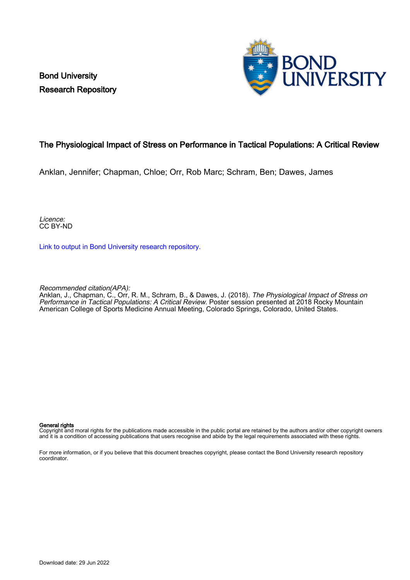Bond University Research Repository



### The Physiological Impact of Stress on Performance in Tactical Populations: A Critical Review

Anklan, Jennifer; Chapman, Chloe; Orr, Rob Marc; Schram, Ben; Dawes, James

Licence: CC BY-ND

[Link to output in Bond University research repository.](https://research.bond.edu.au/en/publications/77e5c6d5-7443-44a7-b3b6-3aa8b8ef895a)

Recommended citation(APA):

Anklan, J., Chapman, C., Orr, R. M., Schram, B., & Dawes, J. (2018). The Physiological Impact of Stress on Performance in Tactical Populations: A Critical Review. Poster session presented at 2018 Rocky Mountain American College of Sports Medicine Annual Meeting, Colorado Springs, Colorado, United States.

### General rights

Copyright and moral rights for the publications made accessible in the public portal are retained by the authors and/or other copyright owners and it is a condition of accessing publications that users recognise and abide by the legal requirements associated with these rights.

For more information, or if you believe that this document breaches copyright, please contact the Bond University research repository coordinator.